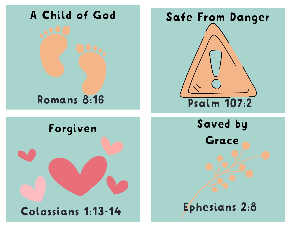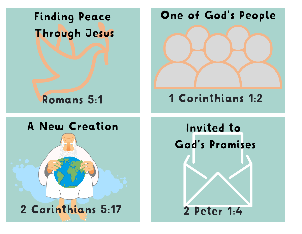Finding Peace Through Jesus One of God's People

Romans 5:1



1 Corinthians 1:2

A New Creation



Invited to God' s Promises 2 Peter 1:4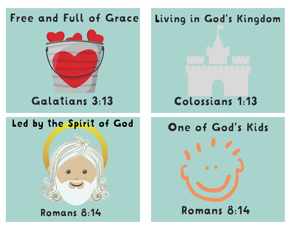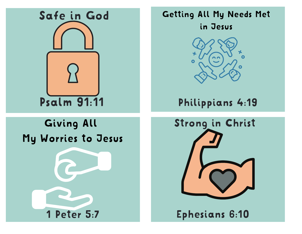

#### Getting All My Needs Met in Jesus



#### Philippians 4:19

## Giving All My Worries to Jesus





Ephesians 6:10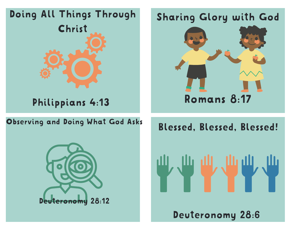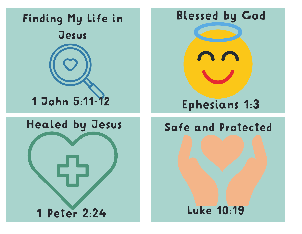

1 Peter 2:24

Blessed by God

# Ephesians 1:3

#### Safe and Protected

#### Luke 10:19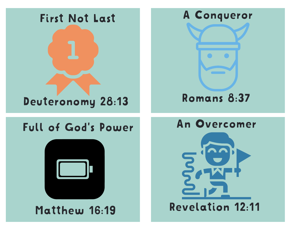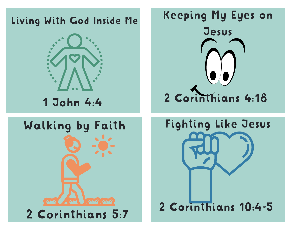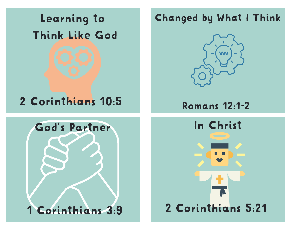Learning to Think Like God

## 2 Corinthians 10:5

### Changed by What I Think



Romans 12:1-2

In Christ

2 Corinthians 5:21